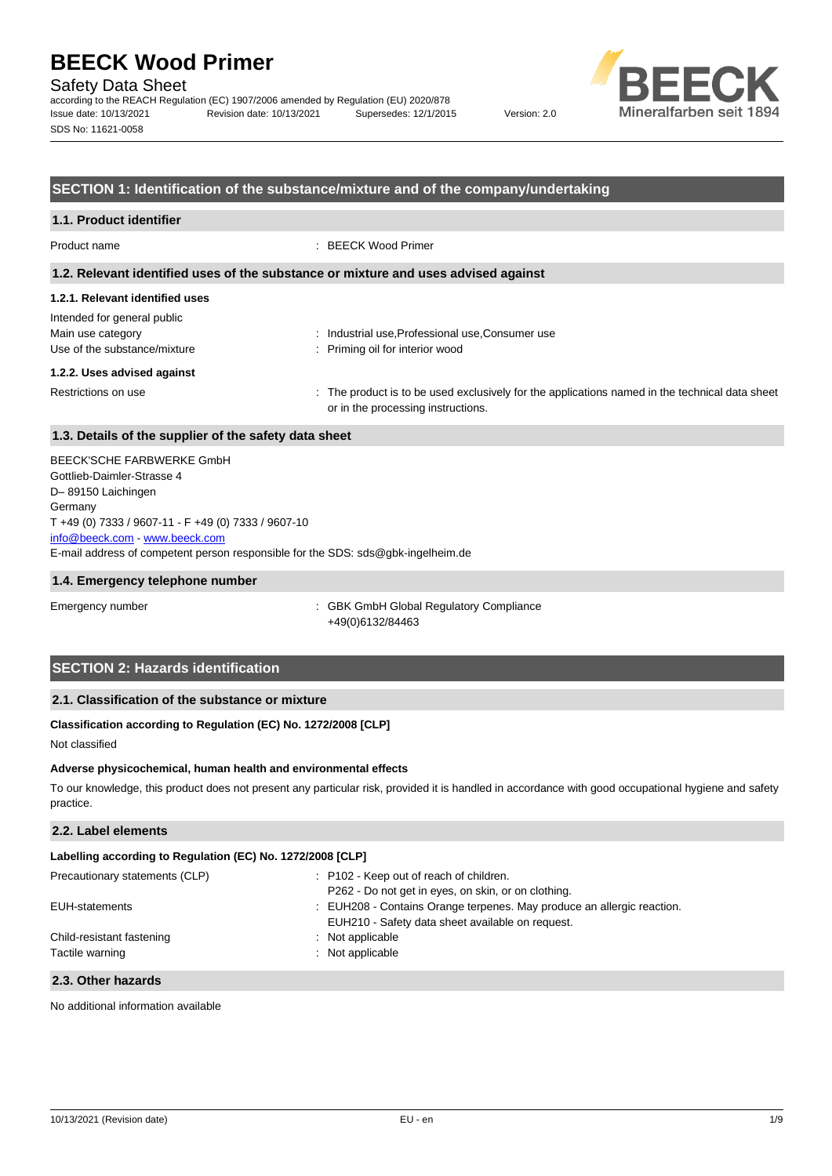Safety Data Sheet

according to the REACH Regulation (EC) 1907/2006 amended by Regulation (EU) 2020/878 Issue date: 10/13/2021 Revision date: 10/13/2021 Supersedes: 12/1/2015 Version: 2.0 SDS No: 11621-0058



### **SECTION 1: Identification of the substance/mixture and of the company/undertaking**

## **1.1. Product identifier** Product name : BEECK Wood Primer **1.2. Relevant identified uses of the substance or mixture and uses advised against**

#### **1.2.1. Relevant identified uses**

Intended for general public Main use category **industrial use, Professional use, Consumer use** industrial use, Professional use, Consumer use Use of the substance/mixture interior wood : Priming oil for interior wood

#### **1.2.2. Uses advised against**

Restrictions on use state of the product is to be used exclusively for the applications named in the technical data sheet or in the processing instructions.

## **1.3. Details of the supplier of the safety data sheet**

E-mail address of competent person responsible for the SDS: sds@gbk-ingelheim.de BEECK'SCHE FARBWERKE GmbH Gottlieb-Daimler-Strasse 4 D– 89150 Laichingen Germany T +49 (0) 7333 / 9607-11 - F +49 (0) 7333 / 9607-10 [info@beeck.com](mailto:info@beeck.com) - [www.beeck.com](http://www.beeck.com/)

#### **1.4. Emergency telephone number**

Emergency number : GBK GmbH Global Regulatory Compliance +49(0)6132/84463

## **SECTION 2: Hazards identification**

## **2.1. Classification of the substance or mixture**

#### **Classification according to Regulation (EC) No. 1272/2008 [CLP]**

Not classified

#### **Adverse physicochemical, human health and environmental effects**

To our knowledge, this product does not present any particular risk, provided it is handled in accordance with good occupational hygiene and safety practice.

### **2.2. Label elements**

## **Labelling according to Regulation (EC) No. 1272/2008 [CLP]**

| Precautionary statements (CLP) | : P102 - Keep out of reach of children.                                |
|--------------------------------|------------------------------------------------------------------------|
|                                | P262 - Do not get in eyes, on skin, or on clothing.                    |
| EUH-statements                 | : EUH208 - Contains Orange terpenes. May produce an allergic reaction. |
|                                | EUH210 - Safety data sheet available on request.                       |
| Child-resistant fastening      | : Not applicable                                                       |
| Tactile warning                | : Not applicable                                                       |
|                                |                                                                        |

## **2.3. Other hazards**

No additional information available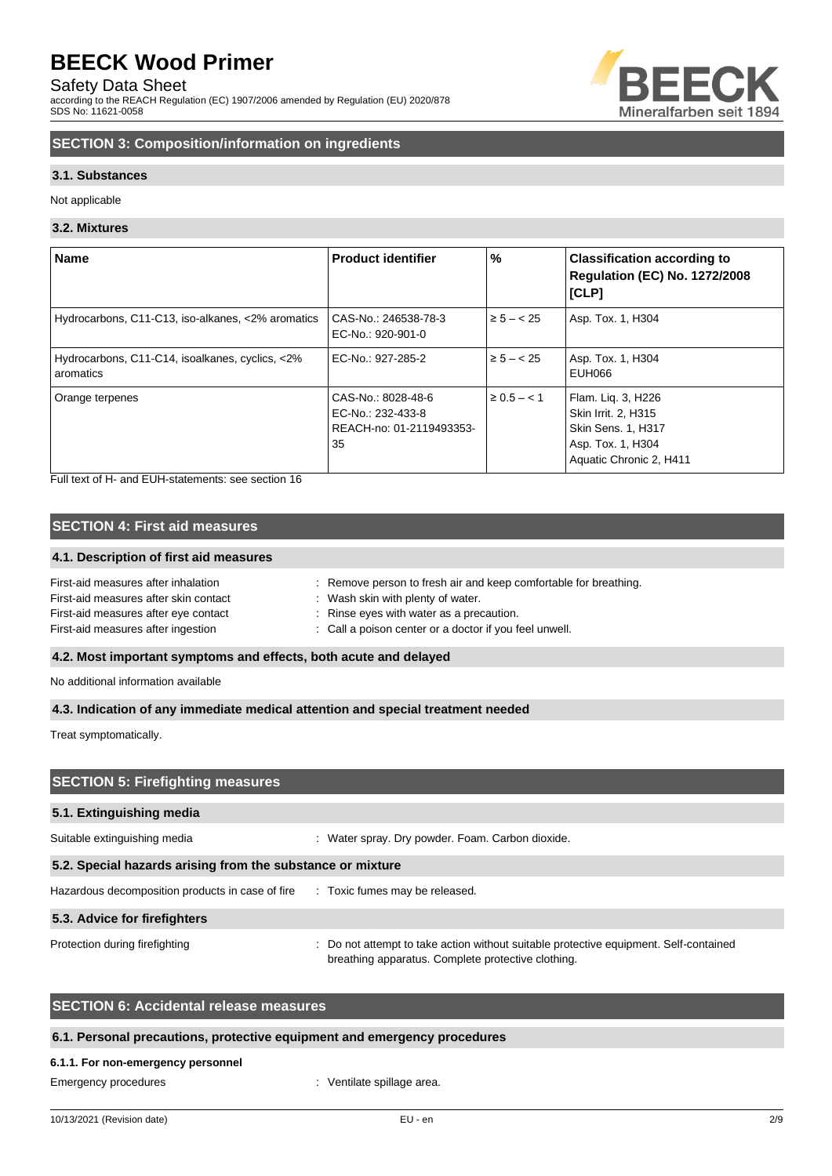Safety Data Sheet

according to the REACH Regulation (EC) 1907/2006 amended by Regulation (EU) 2020/878 SDS No: 11621-0058



## **SECTION 3: Composition/information on ingredients**

### **3.1. Substances**

Not applicable

#### **3.2. Mixtures**

| <b>Name</b>                                                  | <b>Product identifier</b>                                                 | %               | <b>Classification according to</b><br><b>Regulation (EC) No. 1272/2008</b><br><b>[CLP]</b>                             |
|--------------------------------------------------------------|---------------------------------------------------------------------------|-----------------|------------------------------------------------------------------------------------------------------------------------|
| Hydrocarbons, C11-C13, iso-alkanes, <2% aromatics            | CAS-No.: 246538-78-3<br>EC-No.: 920-901-0                                 | $\ge 5 - < 25$  | Asp. Tox. 1, H304                                                                                                      |
| Hydrocarbons, C11-C14, isoalkanes, cyclics, <2%<br>aromatics | EC-No.: 927-285-2                                                         | $\ge 5 - < 25$  | Asp. Tox. 1, H304<br>EUH066                                                                                            |
| Orange terpenes                                              | CAS-No.: 8028-48-6<br>EC-No.: 232-433-8<br>REACH-no: 01-2119493353-<br>35 | $\ge 0.5 - < 1$ | Flam. Liq. 3, H226<br>Skin Irrit. 2. H315<br><b>Skin Sens. 1, H317</b><br>Asp. Tox. 1, H304<br>Aquatic Chronic 2, H411 |

Full text of H- and EUH-statements: see section 16

## **SECTION 4: First aid measures**

## **4.1. Description of first aid measures**

| First-aid measures after inhalation<br>First-aid measures after skin contact | : Remove person to fresh air and keep comfortable for breathing.<br>Wash skin with plenty of water. |
|------------------------------------------------------------------------------|-----------------------------------------------------------------------------------------------------|
| First-aid measures after eye contact                                         | Rinse eyes with water as a precaution.                                                              |
| First-aid measures after ingestion                                           | : Call a poison center or a doctor if you feel unwell.                                              |

### **4.2. Most important symptoms and effects, both acute and delayed**

No additional information available

**4.3. Indication of any immediate medical attention and special treatment needed**

Treat symptomatically.

| <b>SECTION 5: Firefighting measures</b>                    |                                                                                                                                             |  |
|------------------------------------------------------------|---------------------------------------------------------------------------------------------------------------------------------------------|--|
| 5.1. Extinguishing media                                   |                                                                                                                                             |  |
| Suitable extinguishing media                               | : Water spray. Dry powder. Foam. Carbon dioxide.                                                                                            |  |
| 5.2. Special hazards arising from the substance or mixture |                                                                                                                                             |  |
| Hazardous decomposition products in case of fire           | : Toxic fumes may be released.                                                                                                              |  |
| 5.3. Advice for firefighters                               |                                                                                                                                             |  |
| Protection during firefighting                             | : Do not attempt to take action without suitable protective equipment. Self-contained<br>breathing apparatus. Complete protective clothing. |  |

## **SECTION 6: Accidental release measures**

#### **6.1. Personal precautions, protective equipment and emergency procedures**

#### **6.1.1. For non-emergency personnel**

Emergency procedures **in the set of the Contract August** Ventilate spillage area.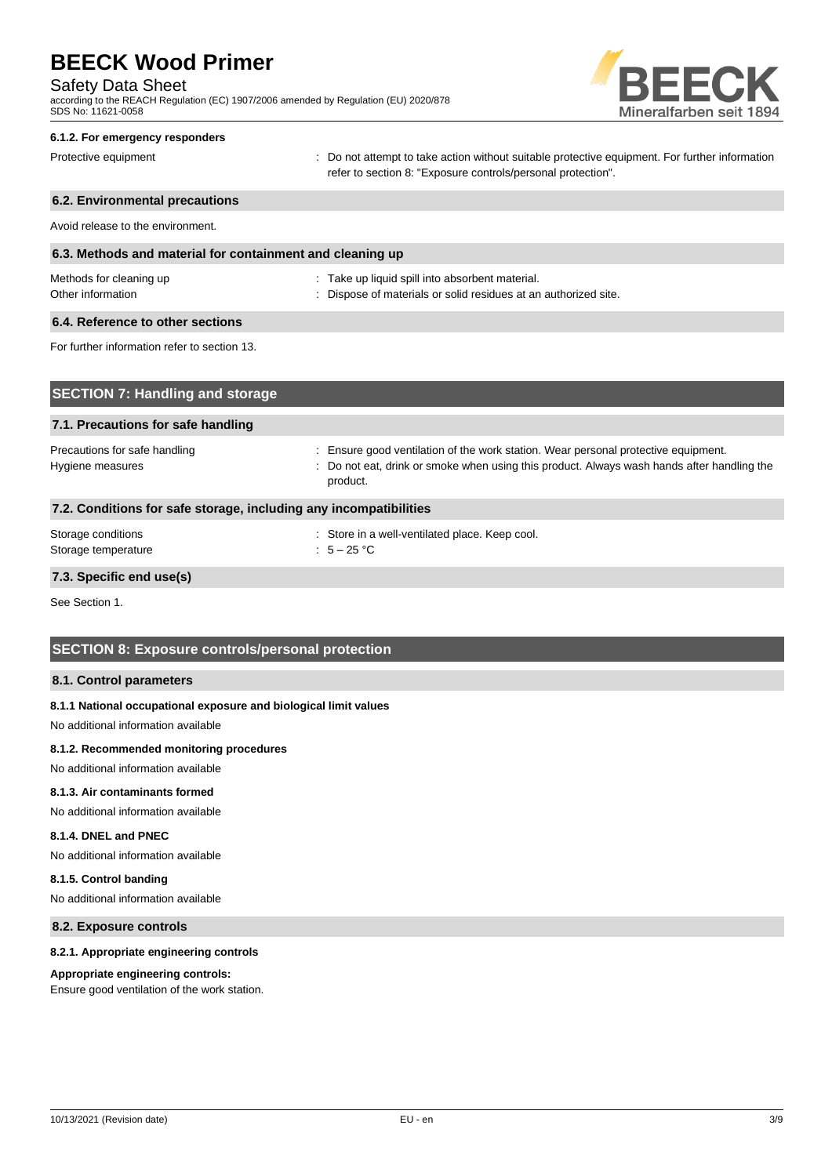#### Safety Data Sheet

according to the REACH Regulation (EC) 1907/2006 amended by Regulation (EU) 2020/878 SDS No: 11621-0058



#### **6.1.2. For emergency responders**

Protective equipment **interval of the CO** not attempt to take action without suitable protective equipment. For further information refer to section 8: "Exposure controls/personal protection".

## **6.2. Environmental precautions** Avoid release to the environment. **6.3. Methods and material for containment and cleaning up** Methods for cleaning up example and the state up liquid spill into absorbent material. Other information **Other information** : Dispose of materials or solid residues at an authorized site. **6.4. Reference to other sections** For further information refer to section 13. **SECTION 7: Handling and storage**

| 7.1. Precautions for safe handling                                |                                                                                                                                                                                              |  |
|-------------------------------------------------------------------|----------------------------------------------------------------------------------------------------------------------------------------------------------------------------------------------|--|
| Precautions for safe handling<br>Hygiene measures                 | : Ensure good ventilation of the work station. Wear personal protective equipment.<br>: Do not eat, drink or smoke when using this product. Always wash hands after handling the<br>product. |  |
| 7.2. Conditions for safe storage, including any incompatibilities |                                                                                                                                                                                              |  |
| Storage conditions<br>Storage temperature                         | : Store in a well-ventilated place. Keep cool.<br>: $5-25$ °C                                                                                                                                |  |

### **7.3. Specific end use(s)**

See Section 1.

## **SECTION 8: Exposure controls/personal protection**

#### **8.1. Control parameters**

#### **8.1.1 National occupational exposure and biological limit values**

No additional information available

#### **8.1.2. Recommended monitoring procedures**

No additional information available

#### **8.1.3. Air contaminants formed**

No additional information available

### **8.1.4. DNEL and PNEC**

No additional information available

#### **8.1.5. Control banding**

No additional information available

## **8.2. Exposure controls**

#### **8.2.1. Appropriate engineering controls**

#### **Appropriate engineering controls:**

Ensure good ventilation of the work station.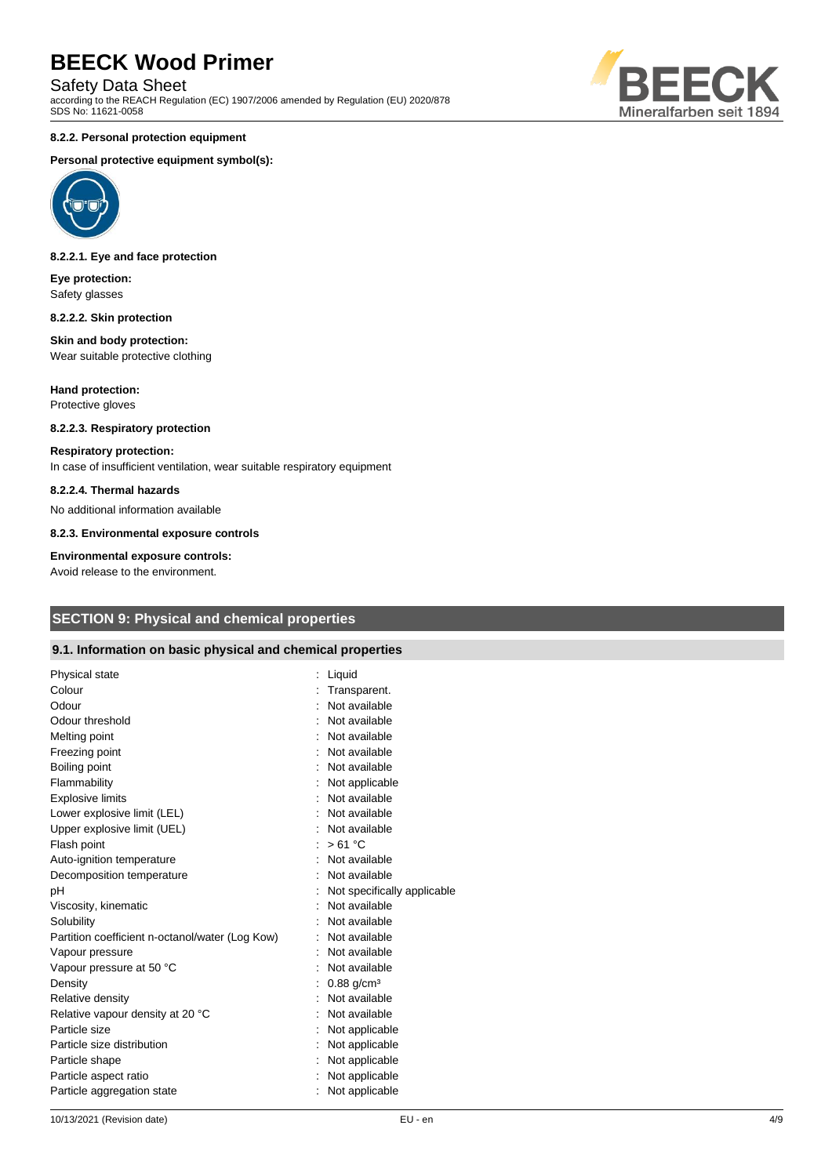Safety Data Sheet

according to the REACH Regulation (EC) 1907/2006 amended by Regulation (EU) 2020/878 SDS No: 11621-0058

#### **8.2.2. Personal protection equipment**

#### **Personal protective equipment symbol(s):**



#### **8.2.2.1. Eye and face protection**

**Eye protection:** Safety glasses

#### **8.2.2.2. Skin protection**

#### **Skin and body protection:** Wear suitable protective clothing

**Hand protection:** Protective gloves

## **8.2.2.3. Respiratory protection**

#### **Respiratory protection:**

In case of insufficient ventilation, wear suitable respiratory equipment

#### **8.2.2.4. Thermal hazards**

No additional information available

**8.2.3. Environmental exposure controls**

#### **Environmental exposure controls:**

Avoid release to the environment.

## **SECTION 9: Physical and chemical properties**

#### **9.1. Information on basic physical and chemical properties**

| Physical state                                  | Liquid                      |
|-------------------------------------------------|-----------------------------|
| Colour                                          | Transparent.                |
| Odour                                           | Not available               |
| Odour threshold                                 | Not available               |
| Melting point                                   | Not available               |
| Freezing point                                  | Not available               |
| Boiling point                                   | Not available               |
| Flammability                                    | Not applicable              |
| <b>Explosive limits</b>                         | Not available               |
| Lower explosive limit (LEL)                     | Not available               |
| Upper explosive limit (UEL)                     | Not available               |
| Flash point                                     | >61 °C                      |
| Auto-ignition temperature                       | : Not available             |
| Decomposition temperature                       | Not available               |
| рH                                              | Not specifically applicable |
| Viscosity, kinematic                            | Not available               |
| Solubility                                      | Not available               |
| Partition coefficient n-octanol/water (Log Kow) | Not available               |
| Vapour pressure                                 | Not available               |
| Vapour pressure at 50 °C                        | Not available               |
| Density                                         | $0.88$ g/cm <sup>3</sup>    |
| Relative density                                | Not available               |
| Relative vapour density at 20 °C                | Not available               |
| Particle size                                   | Not applicable              |
| Particle size distribution                      | : Not applicable            |
| Particle shape                                  | : Not applicable            |
| Particle aspect ratio                           | Not applicable              |
| Particle aggregation state                      | Not applicable              |
|                                                 |                             |

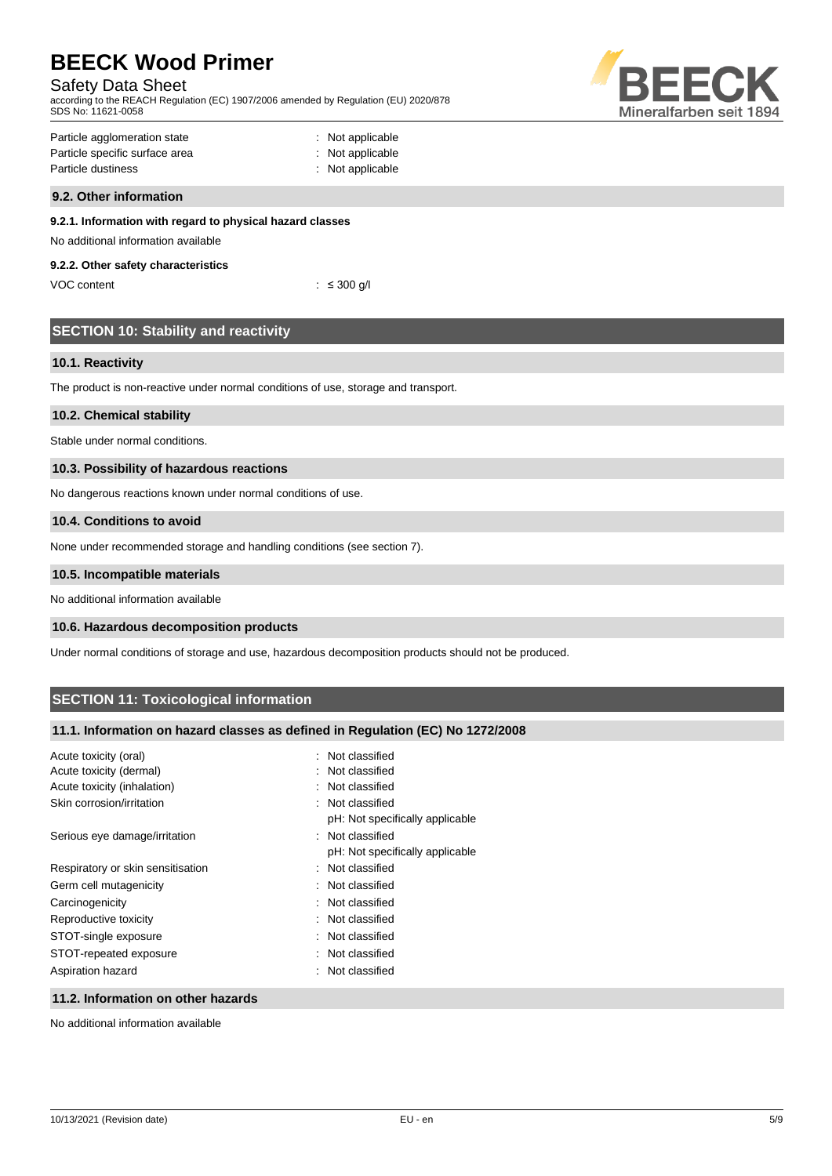## Safety Data Sheet

according to the REACH Regulation (EC) 1907/2006 amended by Regulation (EU) 2020/878 SDS No: 11621-0058



| Particle agglomeration state   | : Not applicable |
|--------------------------------|------------------|
| Particle specific surface area | : Not applicable |
| Particle dustiness             | : Not applicable |

#### **9.2. Other information**

## **9.2.1. Information with regard to physical hazard classes**

## No additional information available

## **9.2.2. Other safety characteristics**

VOC content : ≤ 300 g/l

## **SECTION 10: Stability and reactivity**

#### **10.1. Reactivity**

The product is non-reactive under normal conditions of use, storage and transport.

#### **10.2. Chemical stability**

Stable under normal conditions.

## **10.3. Possibility of hazardous reactions**

No dangerous reactions known under normal conditions of use.

#### **10.4. Conditions to avoid**

None under recommended storage and handling conditions (see section 7).

#### **10.5. Incompatible materials**

No additional information available

### **10.6. Hazardous decomposition products**

Under normal conditions of storage and use, hazardous decomposition products should not be produced.

## **SECTION 11: Toxicological information**

## **11.1. Information on hazard classes as defined in Regulation (EC) No 1272/2008**

| Acute toxicity (oral)             | : Not classified                |
|-----------------------------------|---------------------------------|
| Acute toxicity (dermal)           | : Not classified                |
| Acute toxicity (inhalation)       | : Not classified                |
| Skin corrosion/irritation         | : Not classified                |
|                                   | pH: Not specifically applicable |
| Serious eye damage/irritation     | : Not classified                |
|                                   | pH: Not specifically applicable |
| Respiratory or skin sensitisation | : Not classified                |
| Germ cell mutagenicity            | : Not classified                |
| Carcinogenicity                   | : Not classified                |
| Reproductive toxicity             | : Not classified                |
| STOT-single exposure              | : Not classified                |
| STOT-repeated exposure            | : Not classified                |
| Aspiration hazard                 | : Not classified                |
|                                   |                                 |

#### **11.2. Information on other hazards**

No additional information available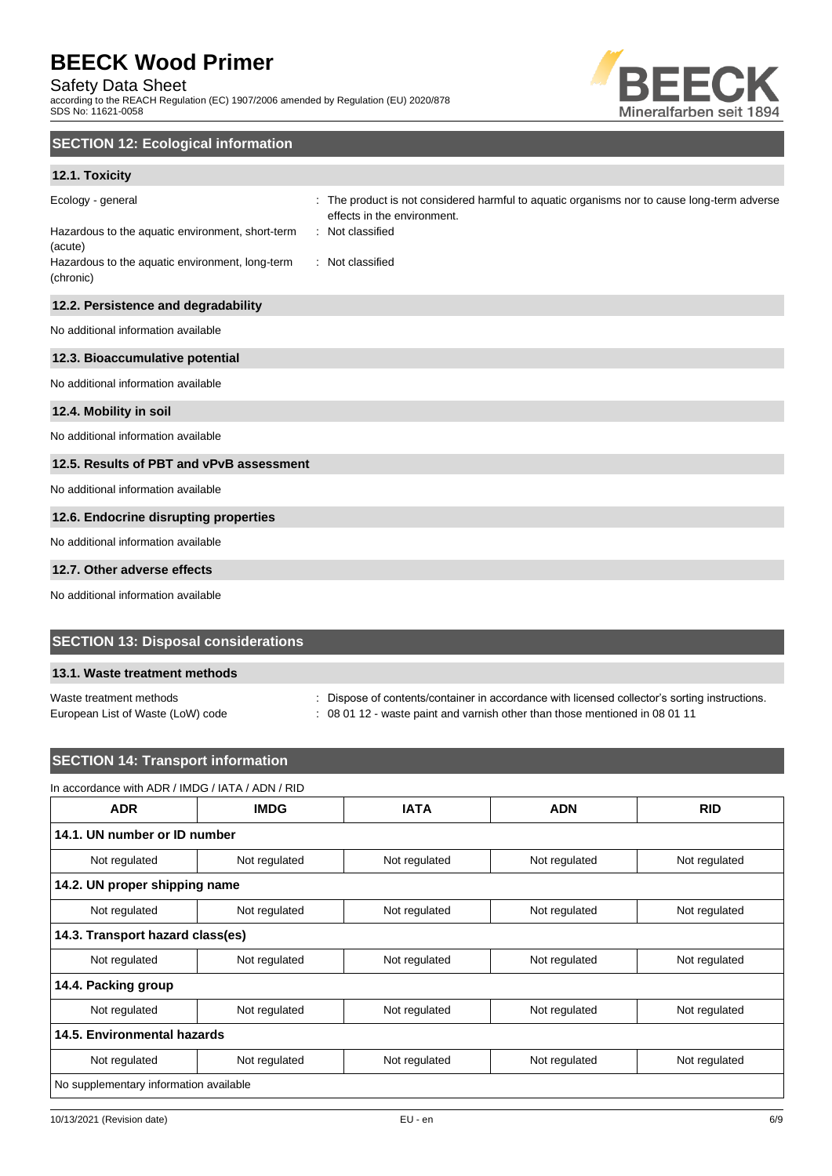## Safety Data Sheet

according to the REACH Regulation (EC) 1907/2006 amended by Regulation (EU) 2020/878 SDS No: 11621-0058



## **SECTION 12: Ecological information**

## **12.1. Toxicity**

| Ecology - general<br>Hazardous to the aquatic environment, short-term<br>(acute)<br>Hazardous to the aquatic environment, long-term<br>(chronic) | : The product is not considered harmful to aquatic organisms nor to cause long-term adverse<br>effects in the environment.<br>: Not classified<br>: Not classified |
|--------------------------------------------------------------------------------------------------------------------------------------------------|--------------------------------------------------------------------------------------------------------------------------------------------------------------------|
| 12.2. Persistence and degradability                                                                                                              |                                                                                                                                                                    |
| No additional information available                                                                                                              |                                                                                                                                                                    |
| 12.3. Bioaccumulative potential                                                                                                                  |                                                                                                                                                                    |
| No additional information available                                                                                                              |                                                                                                                                                                    |
| 12.4. Mobility in soil                                                                                                                           |                                                                                                                                                                    |
| No additional information available                                                                                                              |                                                                                                                                                                    |
| 12.5. Results of PBT and vPvB assessment                                                                                                         |                                                                                                                                                                    |
| No additional information available                                                                                                              |                                                                                                                                                                    |
| 12.6. Endocrine disrupting properties                                                                                                            |                                                                                                                                                                    |
| No additional information available                                                                                                              |                                                                                                                                                                    |
| 12.7. Other adverse effects                                                                                                                      |                                                                                                                                                                    |

No additional information available

## **SECTION 13: Disposal considerations**

### **13.1. Waste treatment methods**

Waste treatment methods **interpretations** : Dispose of contents/container in accordance with licensed collector's sorting instructions.

European List of Waste (LoW) code : 08 01 12 - waste paint and varnish other than those mentioned in 08 01 11

## **SECTION 14: Transport information** In accordance with ADR / IMDG / IATA / ADN / RID **ADR IMDG IATA ADN RID 14.1. UN number or ID number** Not regulated Not regulated Not regulated Not regulated Not regulated Not regulated Not regulated **14.2. UN proper shipping name** Not regulated Not regulated Not regulated Not regulated Not regulated Not regulated Not regulated **14.3. Transport hazard class(es)** Not regulated Not regulated Not regulated Not regulated Not regulated **14.4. Packing group** Not regulated Not regulated Not regulated Not regulated Not regulated Not regulated Not regulated **14.5. Environmental hazards** Not regulated Not regulated Not regulated Not regulated Not regulated Not regulated Not regulated No supplementary information available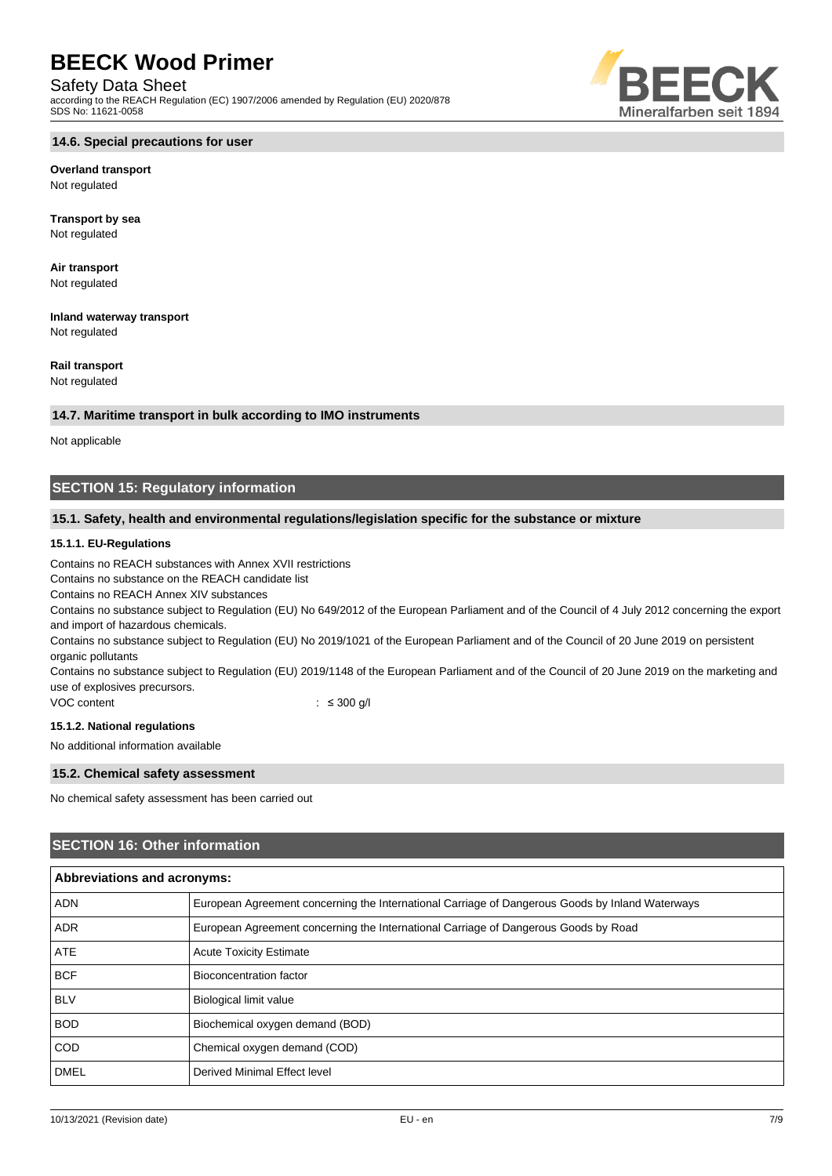### Safety Data Sheet

according to the REACH Regulation (EC) 1907/2006 amended by Regulation (EU) 2020/878 SDS No: 11621-0058



## **Overland transport**

Not regulated

**Transport by sea** Not regulated

**Air transport** Not regulated

**Inland waterway transport** Not regulated

## **Rail transport**

Not regulated

#### **14.7. Maritime transport in bulk according to IMO instruments**

Not applicable

## **SECTION 15: Regulatory information**

### **15.1. Safety, health and environmental regulations/legislation specific for the substance or mixture**

#### **15.1.1. EU-Regulations**

Contains no REACH substances with Annex XVII restrictions

Contains no substance on the REACH candidate list

Contains no REACH Annex XIV substances

Contains no substance subject to Regulation (EU) No 649/2012 of the European Parliament and of the Council of 4 July 2012 concerning the export and import of hazardous chemicals.

Contains no substance subject to Regulation (EU) No 2019/1021 of the European Parliament and of the Council of 20 June 2019 on persistent organic pollutants

Contains no substance subject to Regulation (EU) 2019/1148 of the European Parliament and of the Council of 20 June 2019 on the marketing and use of explosives precursors.

VOC content : ≤ 300 g/l

#### **15.1.2. National regulations**

No additional information available

#### **15.2. Chemical safety assessment**

No chemical safety assessment has been carried out

## **SECTION 16: Other information**

| Abbreviations and acronyms: |                                                                                                 |  |
|-----------------------------|-------------------------------------------------------------------------------------------------|--|
| <b>ADN</b>                  | European Agreement concerning the International Carriage of Dangerous Goods by Inland Waterways |  |
| <b>ADR</b>                  | European Agreement concerning the International Carriage of Dangerous Goods by Road             |  |
| <b>ATE</b>                  | <b>Acute Toxicity Estimate</b>                                                                  |  |
| <b>BCF</b>                  | Bioconcentration factor                                                                         |  |
| <b>BLV</b>                  | <b>Biological limit value</b>                                                                   |  |
| <b>BOD</b>                  | Biochemical oxygen demand (BOD)                                                                 |  |
| <b>COD</b>                  | Chemical oxygen demand (COD)                                                                    |  |
| <b>DMEL</b>                 | Derived Minimal Effect level                                                                    |  |

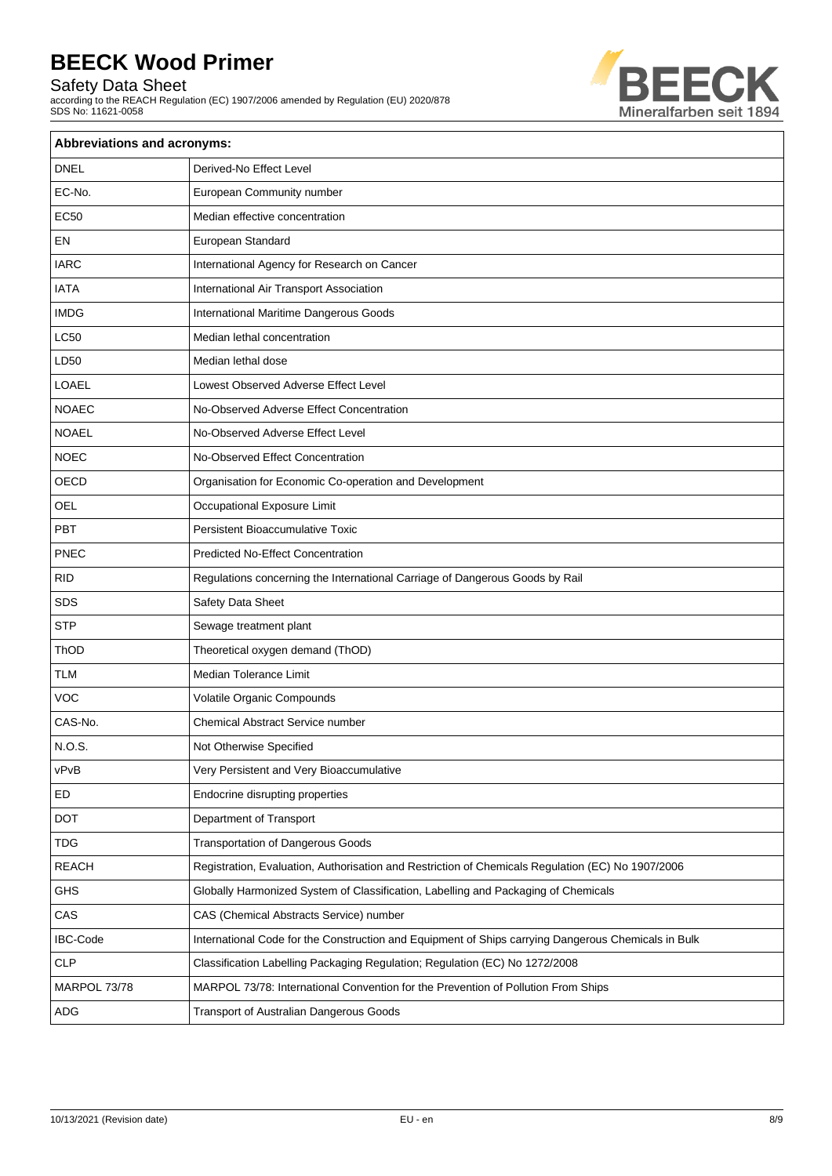Safety Data Sheet

according to the REACH Regulation (EC) 1907/2006 amended by Regulation (EU) 2020/878 SDS No: 11621-0058



| Abbreviations and acronyms: |                                                                                                     |  |
|-----------------------------|-----------------------------------------------------------------------------------------------------|--|
| <b>DNEL</b>                 | Derived-No Effect Level                                                                             |  |
| EC-No.                      | European Community number                                                                           |  |
| <b>EC50</b>                 | Median effective concentration                                                                      |  |
| EN                          | European Standard                                                                                   |  |
| <b>IARC</b>                 | International Agency for Research on Cancer                                                         |  |
| <b>IATA</b>                 | International Air Transport Association                                                             |  |
| <b>IMDG</b>                 | International Maritime Dangerous Goods                                                              |  |
| <b>LC50</b>                 | Median lethal concentration                                                                         |  |
| LD50                        | Median lethal dose                                                                                  |  |
| <b>LOAEL</b>                | Lowest Observed Adverse Effect Level                                                                |  |
| <b>NOAEC</b>                | No-Observed Adverse Effect Concentration                                                            |  |
| <b>NOAEL</b>                | No-Observed Adverse Effect Level                                                                    |  |
| <b>NOEC</b>                 | No-Observed Effect Concentration                                                                    |  |
| OECD                        | Organisation for Economic Co-operation and Development                                              |  |
| OEL                         | Occupational Exposure Limit                                                                         |  |
| PBT                         | <b>Persistent Bioaccumulative Toxic</b>                                                             |  |
| <b>PNEC</b>                 | <b>Predicted No-Effect Concentration</b>                                                            |  |
| <b>RID</b>                  | Regulations concerning the International Carriage of Dangerous Goods by Rail                        |  |
| SDS                         | Safety Data Sheet                                                                                   |  |
| <b>STP</b>                  | Sewage treatment plant                                                                              |  |
| ThOD                        | Theoretical oxygen demand (ThOD)                                                                    |  |
| <b>TLM</b>                  | Median Tolerance Limit                                                                              |  |
| <b>VOC</b>                  | Volatile Organic Compounds                                                                          |  |
| CAS-No.                     | Chemical Abstract Service number                                                                    |  |
| N.O.S.                      | Not Otherwise Specified                                                                             |  |
| vPvB                        | Very Persistent and Very Bioaccumulative                                                            |  |
| ED                          | Endocrine disrupting properties                                                                     |  |
| <b>DOT</b>                  | Department of Transport                                                                             |  |
| <b>TDG</b>                  | <b>Transportation of Dangerous Goods</b>                                                            |  |
| <b>REACH</b>                | Registration, Evaluation, Authorisation and Restriction of Chemicals Regulation (EC) No 1907/2006   |  |
| <b>GHS</b>                  | Globally Harmonized System of Classification, Labelling and Packaging of Chemicals                  |  |
| CAS                         | CAS (Chemical Abstracts Service) number                                                             |  |
| <b>IBC-Code</b>             | International Code for the Construction and Equipment of Ships carrying Dangerous Chemicals in Bulk |  |
| CLP                         | Classification Labelling Packaging Regulation; Regulation (EC) No 1272/2008                         |  |
| MARPOL 73/78                | MARPOL 73/78: International Convention for the Prevention of Pollution From Ships                   |  |
| ADG                         | Transport of Australian Dangerous Goods                                                             |  |